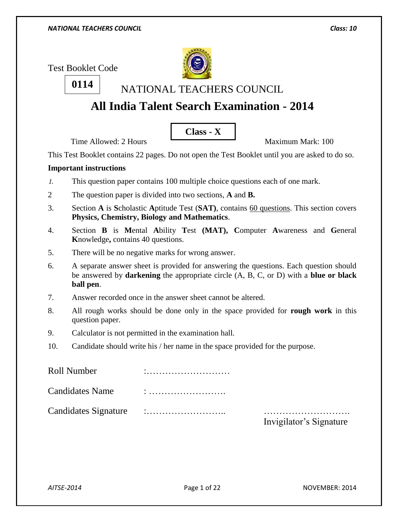Test Booklet Code

**0114**



NATIONAL TEACHERS COUNCIL

# **All India Talent Search Examination - 2014**

**Class - X**

Time Allowed:  $2$  Hours  $\overline{\phantom{a}}$  Maximum Mark: 100

This Test Booklet contains 22 pages. Do not open the Test Booklet until you are asked to do so.

### **Important instructions**

- *1.* This question paper contains 100 multiple choice questions each of one mark.
- 2 The question paper is divided into two sections, **A** and **B.**
- 3. Section **A** is **S**cholastic **A**ptitude Test (**SAT)**, contains 60 questions. This section covers **Physics, Chemistry, Biology and Mathematics**.
- 4. Section **B** is **M**ental **A**bility **T**est **(MAT), C**omputer **A**wareness and **G**eneral **K**nowledge**,** contains 40 questions.
- 5. There will be no negative marks for wrong answer.
- 6. A separate answer sheet is provided for answering the questions. Each question should be answered by **darkening** the appropriate circle (A, B, C, or D) with a **blue or black ball pen**.
- 7. Answer recorded once in the answer sheet cannot be altered.
- 8. All rough works should be done only in the space provided for **rough work** in this question paper.
- 9. Calculator is not permitted in the examination hall.
- 10. Candidate should write his / her name in the space provided for the purpose.

| Roll Number            |                         |
|------------------------|-------------------------|
| <b>Candidates Name</b> |                         |
| Candidates Signature   | Invigilator's Signature |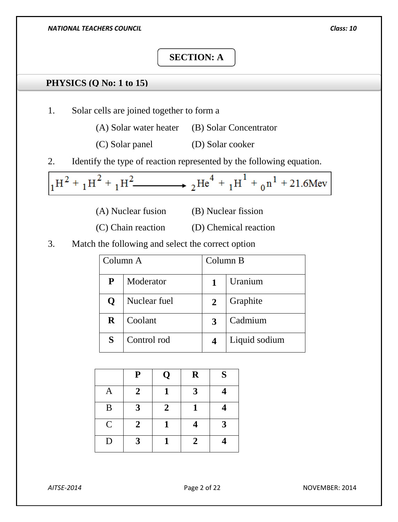# **SECTION: A**

# **PHYSICS (Q No: 1 to 15)**

- 1. Solar cells are joined together to form a
	- (A) Solar water heater (B) Solar Concentrator
	- (C) Solar panel (D) Solar cooker
- 2. Identify the type of reaction represented by the following equation.

$$
{}_1\text{H}^2 + {}_1\text{H}^2 + {}_1\text{H}^2
$$
  $\longrightarrow$   ${}_2\text{He}^4 + {}_1\text{H}^1 + {}_0\text{n}^1 + 21.6$ Mev

- 
- (A) Nuclear fusion (B) Nuclear fission
- (C) Chain reaction (D) Chemical reaction
- 3. Match the following and select the correct option

| Column A  |              | Column B       |               |
|-----------|--------------|----------------|---------------|
| ${\bf P}$ | Moderator    |                | Uranium       |
| Q         | Nuclear fuel | $\overline{2}$ | Graphite      |
| $\bf R$   | Coolant      | 3              | Cadmium       |
| S         | Control rod  |                | Liquid sodium |

|             | ${\bf P}$      | Q              | $\mathbf R$    | S |
|-------------|----------------|----------------|----------------|---|
| A           | $\overline{2}$ |                | 3              |   |
| B           | 3              | $\overline{2}$ |                |   |
| $\mathbf C$ | $\overline{2}$ | 1              |                | 3 |
| D           | 3              |                | $\overline{2}$ |   |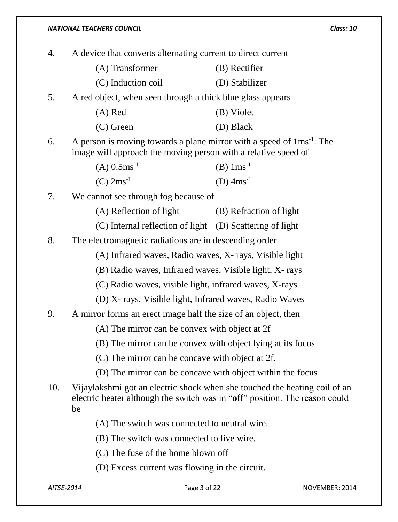|    | <b>NATIONAL TEACHERS COUNCIL</b>                                                                                                                     | Class: 10              |  |
|----|------------------------------------------------------------------------------------------------------------------------------------------------------|------------------------|--|
| 4. | A device that converts alternating current to direct current                                                                                         |                        |  |
|    | (A) Transformer                                                                                                                                      | (B) Rectifier          |  |
|    | (C) Induction coil                                                                                                                                   | (D) Stabilizer         |  |
| 5. | A red object, when seen through a thick blue glass appears                                                                                           |                        |  |
|    | $(A)$ Red                                                                                                                                            | (B) Violet             |  |
|    | $(C)$ Green                                                                                                                                          | (D) Black              |  |
| 6. | A person is moving towards a plane mirror with a speed of $1 \text{ms}^{-1}$ . The<br>image will approach the moving person with a relative speed of |                        |  |
|    | $(A)$ 0.5ms <sup>-1</sup>                                                                                                                            | (B) $1 \text{ms}^{-1}$ |  |
|    | $(C)$ 2ms <sup>-1</sup>                                                                                                                              | (D) $4ms^{-1}$         |  |
| 7. | We cannot see through fog because of                                                                                                                 |                        |  |
|    | (A) Reflection of light (B) Refraction of light                                                                                                      |                        |  |
|    | (C) Internal reflection of light (D) Scattering of light                                                                                             |                        |  |
| 8. | The electromagnetic radiations are in descending order                                                                                               |                        |  |
|    | (A) Infrared waves, Radio waves, X- rays, Visible light                                                                                              |                        |  |

(B) Radio waves, Infrared waves, Visible light, X- rays

(C) Radio waves, visible light, infrared waves, X-rays

(D) X- rays, Visible light, Infrared waves, Radio Waves

### 9. A mirror forms an erect image half the size of an object, then

(A) The mirror can be convex with object at 2f

(B) The mirror can be convex with object lying at its focus

(C) The mirror can be concave with object at 2f.

(D) The mirror can be concave with object within the focus

10. Vijaylakshmi got an electric shock when she touched the heating coil of an electric heater although the switch was in "**off**" position. The reason could be

(A) The switch was connected to neutral wire.

(B) The switch was connected to live wire.

(C) The fuse of the home blown off

(D) Excess current was flowing in the circuit.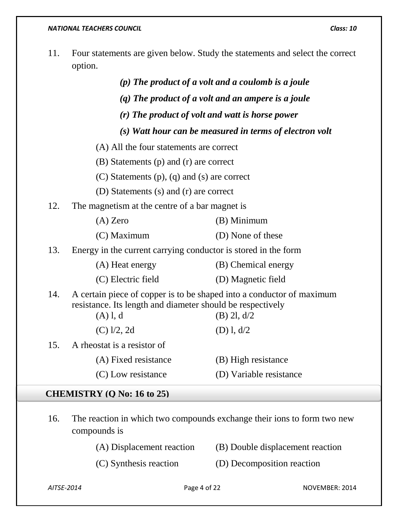11. Four statements are given below. Study the statements and select the correct option.

|     |                                                                                                                                                                      | $(p)$ The product of a volt and a coulomb is a joule    |  |  |  |
|-----|----------------------------------------------------------------------------------------------------------------------------------------------------------------------|---------------------------------------------------------|--|--|--|
|     |                                                                                                                                                                      | $(q)$ The product of a volt and an ampere is a joule    |  |  |  |
|     | (r) The product of volt and watt is horse power                                                                                                                      |                                                         |  |  |  |
|     |                                                                                                                                                                      | (s) Watt hour can be measured in terms of electron volt |  |  |  |
|     | (A) All the four statements are correct                                                                                                                              |                                                         |  |  |  |
|     | (B) Statements (p) and (r) are correct                                                                                                                               |                                                         |  |  |  |
|     | $(C)$ Statements $(p)$ , $(q)$ and $(s)$ are correct                                                                                                                 |                                                         |  |  |  |
|     | (D) Statements (s) and (r) are correct                                                                                                                               |                                                         |  |  |  |
| 12. | The magnetism at the centre of a bar magnet is                                                                                                                       |                                                         |  |  |  |
|     | $(A)$ Zero                                                                                                                                                           | (B) Minimum                                             |  |  |  |
|     | (C) Maximum                                                                                                                                                          | (D) None of these                                       |  |  |  |
| 13. | Energy in the current carrying conductor is stored in the form                                                                                                       |                                                         |  |  |  |
|     | (A) Heat energy                                                                                                                                                      | (B) Chemical energy                                     |  |  |  |
|     | (C) Electric field                                                                                                                                                   | (D) Magnetic field                                      |  |  |  |
| 14. | A certain piece of copper is to be shaped into a conductor of maximum<br>resistance. Its length and diameter should be respectively<br>$(A)$ l, d<br>$(B)$ 2l, $d/2$ |                                                         |  |  |  |
|     | $(C)$ $1/2$ , 2d                                                                                                                                                     | $(D)$ 1, $d/2$                                          |  |  |  |
| 15. | A rheostat is a resistor of                                                                                                                                          |                                                         |  |  |  |
|     | (A) Fixed resistance                                                                                                                                                 | (B) High resistance                                     |  |  |  |
|     | (C) Low resistance                                                                                                                                                   | (D) Variable resistance                                 |  |  |  |
|     | $\alpha$ iin formul ( $\alpha$ ) $\alpha$ ( $\alpha$ ) $\alpha$                                                                                                      |                                                         |  |  |  |

### **CHEMISTRY (Q No: 16 to 25)**

16. The reaction in which two compounds exchange their ions to form two new compounds is

(A) Displacement reaction (B) Double displacement reaction

- 
- (C) Synthesis reaction (D) Decomposition reaction

*AITSE-2014* Page 4 of 22 NOVEMBER: 2014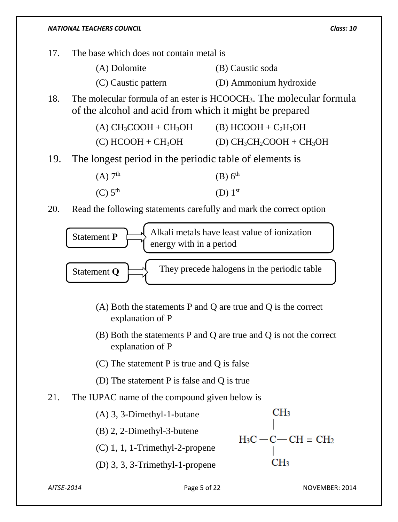- 17. The base which does not contain metal is
	- (A) Dolomite (B) Caustic soda
	- (C) Caustic pattern (D) Ammonium hydroxide
- 18. The molecular formula of an ester is HCOOCH3. The molecular formula of the alcohol and acid from which it might be prepared

| $(A) CH3COOH + CH3OH$            | $(B)$ HCOOH + C <sub>2</sub> H <sub>5</sub> OH |
|----------------------------------|------------------------------------------------|
| $(C)$ HCOOH + CH <sub>3</sub> OH | (D) $CH_3CH_2COOH + CH_3OH$                    |

19. The longest period in the periodic table of elements is

 $(A)$  7<sup>th</sup> th  $(B)$   $6^{\text{th}}$ (C)  $5^{\text{th}}$  (D)  $1^{\text{st}}$ 

20. Read the following statements carefully and mark the correct option



- (A) Both the statements P and Q are true and Q is the correct explanation of P
- (B) Both the statements P and Q are true and Q is not the correct explanation of P
- (C) The statement P is true and Q is false
- (D) The statement P is false and Q is true
- 21. The IUPAC name of the compound given below is

CH<sub>3</sub> (A) 3, 3-Dimethyl-1-butane (B) 2, 2-Dimethyl-3-butene  $H_3C - C - CH = CH_2$ (C) 1, 1, 1-Trimethyl-2-propene  $CH<sub>3</sub>$ (D) 3, 3, 3-Trimethyl-1-propene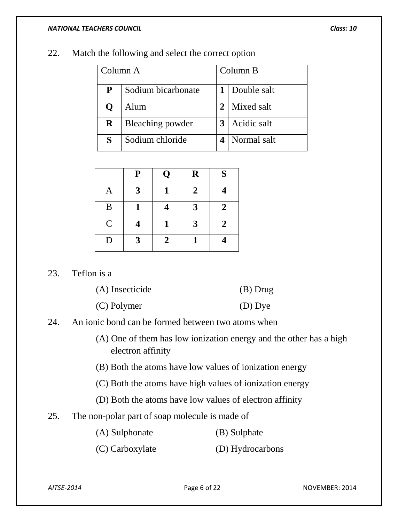| Column A    |                    | Column B |                 |
|-------------|--------------------|----------|-----------------|
| P           | Sodium bicarbonate |          | 1   Double salt |
| $\mathbf 0$ | Alum               | 2        | Mixed salt      |
| $\bf R$     | Bleaching powder   | 3        | Acidic salt     |
| S           | Sodium chloride    |          | Normal salt     |

22. Match the following and select the correct option

|               | ${\bf P}$ | Q              | $\mathbf R$  | S              |
|---------------|-----------|----------------|--------------|----------------|
| A             | 3         |                | $\mathbf{2}$ |                |
| B             |           |                | 3            | $\overline{2}$ |
| $\mathcal{C}$ |           |                | 3            | $\overline{2}$ |
| D             | 3         | $\overline{2}$ |              |                |

23. Teflon is a

| (A) Insecticide | $(B)$ Drug |
|-----------------|------------|
| (C) Polymer     | $(D)$ Dye  |

- 24. An ionic bond can be formed between two atoms when
	- (A) One of them has low ionization energy and the other has a high electron affinity
	- (B) Both the atoms have low values of ionization energy
	- (C) Both the atoms have high values of ionization energy
	- (D) Both the atoms have low values of electron affinity
- 25. The non-polar part of soap molecule is made of
	- (A) Sulphonate (B) Sulphate
	- (C) Carboxylate (D) Hydrocarbons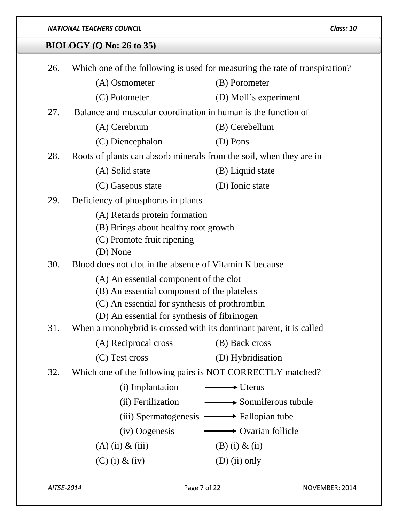# **BIOLOGY (Q No: 26 to 35)**

| 26. | Which one of the following is used for measuring the rate of transpiration? |                                    |  |
|-----|-----------------------------------------------------------------------------|------------------------------------|--|
|     | (A) Osmometer                                                               | (B) Porometer                      |  |
|     | (C) Potometer                                                               | (D) Moll's experiment              |  |
| 27. | Balance and muscular coordination in human is the function of               |                                    |  |
|     | (A) Cerebrum                                                                | (B) Cerebellum                     |  |
|     | (C) Diencephalon                                                            | (D) Pons                           |  |
| 28. | Roots of plants can absorb minerals from the soil, when they are in         |                                    |  |
|     | (A) Solid state                                                             | (B) Liquid state                   |  |
|     | (C) Gaseous state                                                           | (D) Ionic state                    |  |
| 29. | Deficiency of phosphorus in plants                                          |                                    |  |
|     | (A) Retards protein formation                                               |                                    |  |
|     | (B) Brings about healthy root growth                                        |                                    |  |
|     | (C) Promote fruit ripening                                                  |                                    |  |
| 30. | (D) None<br>Blood does not clot in the absence of Vitamin K because         |                                    |  |
|     | (A) An essential component of the clot                                      |                                    |  |
|     | (B) An essential component of the platelets                                 |                                    |  |
|     | (C) An essential for synthesis of prothrombin                               |                                    |  |
|     | (D) An essential for synthesis of fibrinogen                                |                                    |  |
| 31. | When a monohybrid is crossed with its dominant parent, it is called         |                                    |  |
|     | (A) Reciprocal cross                                                        | (B) Back cross                     |  |
|     | (C) Test cross                                                              | (D) Hybridisation                  |  |
| 32. | Which one of the following pairs is NOT CORRECTLY matched?                  |                                    |  |
|     | (i) Implantation                                                            | $\longrightarrow$ Uterus           |  |
|     | (ii) Fertilization                                                          | Somniferous tubule                 |  |
|     | $(iii)$ Spermatogenesis $\longrightarrow$ Fallopian tube                    |                                    |  |
|     | (iv) Oogenesis                                                              | $\longrightarrow$ Ovarian follicle |  |
|     | $(A)$ (ii) & (iii)                                                          | $(B)$ (i) & (ii)                   |  |
|     | $(C)$ (i) & (iv)                                                            | $(D)$ (ii) only                    |  |
|     |                                                                             |                                    |  |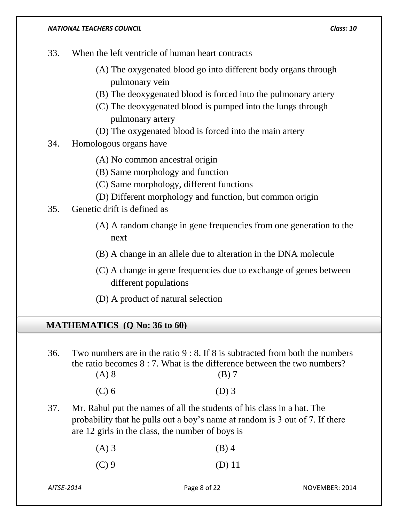- 33. When the left ventricle of human heart contracts
	- (A) The oxygenated blood go into different body organs through pulmonary vein
	- (B) The deoxygenated blood is forced into the pulmonary artery
	- (C) The deoxygenated blood is pumped into the lungs through pulmonary artery
	- (D) The oxygenated blood is forced into the main artery
- 34. Homologous organs have
	- (A) No common ancestral origin
	- (B) Same morphology and function
	- (C) Same morphology, different functions
	- (D) Different morphology and function, but common origin
- 35. Genetic drift is defined as
	- (A) A random change in gene frequencies from one generation to the next
	- (B) A change in an allele due to alteration in the DNA molecule
	- (C) A change in gene frequencies due to exchange of genes between different populations
	- (D) A product of natural selection

### **MATHEMATICS (Q No: 36 to 60)**

36. Two numbers are in the ratio 9 : 8. If 8 is subtracted from both the numbers the ratio becomes 8 : 7. What is the difference between the two numbers?  $(A) 8$  (B) 7

| $(C)$ 6 | $(D)$ 3 |
|---------|---------|
|         |         |

37. Mr. Rahul put the names of all the students of his class in a hat. The probability that he pulls out a boy's name at random is 3 out of 7. If there are 12 girls in the class, the number of boys is

| $(A)$ 3 | $(B)$ 4 |
|---------|---------|
|---------|---------|

 $(C) 9$  (D) 11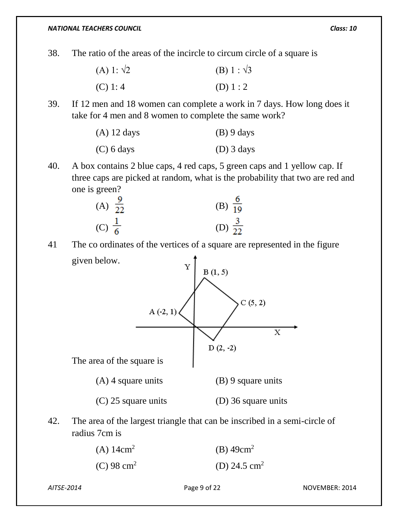38. The ratio of the areas of the incircle to circum circle of a square is

| (A) 1: $\sqrt{2}$ | (B) 1 : $\sqrt{3}$ |
|-------------------|--------------------|
| (C) 1:4           | (D) $1:2$          |

39. If 12 men and 18 women can complete a work in 7 days. How long does it take for 4 men and 8 women to complete the same work?

| $(A)$ 12 days | $(B)$ 9 days |
|---------------|--------------|
| $(C)$ 6 days  | $(D)$ 3 days |

40. A box contains 2 blue caps, 4 red caps, 5 green caps and 1 yellow cap. If three caps are picked at random, what is the probability that two are red and one is green?

| (A) $\frac{9}{22}$ | (B) $\frac{6}{19}$ |
|--------------------|--------------------|
| (C) $\frac{1}{6}$  | (D) $\frac{3}{22}$ |

41 The co ordinates of the vertices of a square are represented in the figure given below.



42. The area of the largest triangle that can be inscribed in a semi-circle of radius 7cm is

| (A) $14 \text{cm}^2$   | (B) $49cm^2$             |
|------------------------|--------------------------|
| (C) 98 cm <sup>2</sup> | (D) 24.5 cm <sup>2</sup> |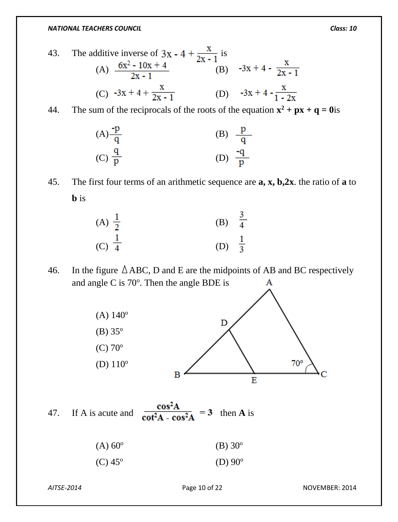43. The additive inverse of  $3x - 4 + \frac{\lambda}{2x - 1}$  is (A)  $\frac{0x^2 - 10x + 4}{2x - 1}$  (B) (C)  $-3x + 4 + \frac{x}{2x - 1}$  (D)  $-3x + 4 - \frac{x}{1 - 2x}$ 

44. The sum of the reciprocals of the roots of the equation  $x^2 + px + q = 0$  is



45. The first four terms of an arithmetic sequence are **a, x, b,2x**. the ratio of **a** to **b** is



46. In the figure  $\triangle$  ABC, D and E are the midpoints of AB and BC respectively and angle C is  $70^\circ$ . Then the angle BDE is А



47. If A is acute and  $\frac{\cos^2 A}{\cot^2 A - \cos^2 A} = 3$  then A is

| $(A) 60^{\circ}$ | (B) $30^{\circ}$ |
|------------------|------------------|
|------------------|------------------|

 $(C) 45^{\circ}$ (D)  $90^{\circ}$ 

*AITSE-2014* Page 10 of 22 NOVEMBER: 2014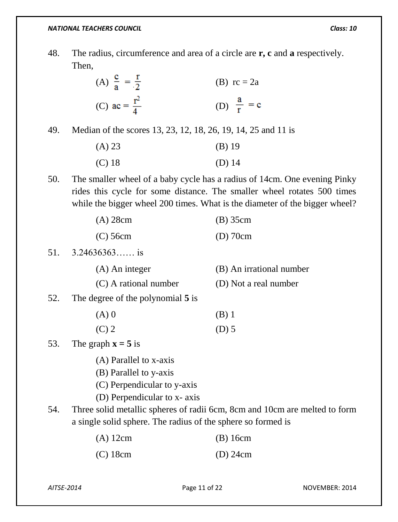48. The radius, circumference and area of a circle are **r, c** and **a** respectively. Then,

| (A) $\frac{c}{a} = \frac{r}{2}$ | (B) $rc = 2a$         |
|---------------------------------|-----------------------|
| (C) ac = $\frac{r^2}{4}$        | (D) $\frac{a}{r} = c$ |

49. Median of the scores 13, 23, 12, 18, 26, 19, 14, 25 and 11 is

| (A) 23   | $(B)$ 19 |
|----------|----------|
| $(C)$ 18 | $(D)$ 14 |

50. The smaller wheel of a baby cycle has a radius of 14cm. One evening Pinky rides this cycle for some distance. The smaller wheel rotates 500 times while the bigger wheel 200 times. What is the diameter of the bigger wheel?

| $(A)$ 28cm | $(B)$ 35cm |
|------------|------------|
| $(C)$ 56cm | $(D)$ 70cm |

51. 
$$
3.24636363...
$$
 is

(A) An integer (B) An irrational number

(C) A rational number (D) Not a real number

52. The degree of the polynomial **5** is

- $(A) 0$  (B) 1
- $(C) 2$  (D) 5

53. The graph  $\mathbf{x} = 5$  is

- (A) Parallel to x-axis
- (B) Parallel to y-axis
- (C) Perpendicular to y-axis
- (D) Perpendicular to x- axis
- 54. Three solid metallic spheres of radii 6cm, 8cm and 10cm are melted to form a single solid sphere. The radius of the sphere so formed is

| $(A)$ 12cm | $(B)$ 16cm |
|------------|------------|
| (C) 18cm   | $(D)$ 24cm |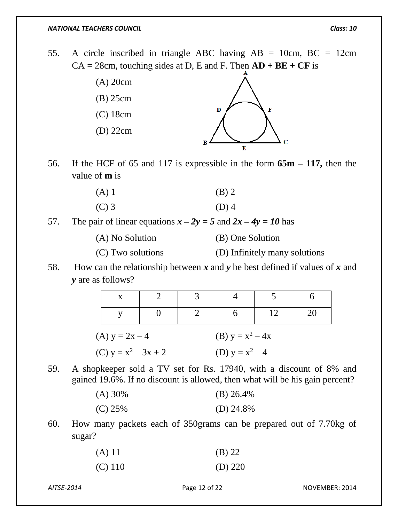55. A circle inscribed in triangle ABC having  $AB = 10$ cm,  $BC = 12$ cm  $CA = 28$ cm, touching sides at D, E and F. Then  $AD + BE + CF$  is



56. If the HCF of 65 and 117 is expressible in the form **65m – 117,** then the value of **m** is

| $(A)$ 1 | $(B)$ 2 |
|---------|---------|
| $(C)$ 3 | $(D)$ 4 |

57. The pair of linear equations  $x - 2y = 5$  and  $2x - 4y = 10$  has

| (A) No Solution | (B) One Solution |
|-----------------|------------------|
|                 |                  |

- (C) Two solutions (D) Infinitely many solutions
- 58. How can the relationship between *x* and *y* be best defined if values of *x* and *y* are as follows?

| (A) $y = 2x - 4$       |  | (B) $y = x^2 - 4x$ |  |
|------------------------|--|--------------------|--|
| (C) $y = x^2 - 3x + 2$ |  | (D) $y = x^2 - 4$  |  |

59. A shopkeeper sold a TV set for Rs. 17940, with a discount of 8% and gained 19.6%. If no discount is allowed, then what will be his gain percent?

| $(A) 30\%$ | (B) $26.4\%$ |
|------------|--------------|
| $(C)$ 25%  | (D) $24.8\%$ |

60. How many packets each of 350grams can be prepared out of 7.70kg of sugar?

| (A) 11    | (B) 22    |
|-----------|-----------|
| $(C)$ 110 | (D) $220$ |

*AITSE-2014* Page 12 of 22 NOVEMBER: 2014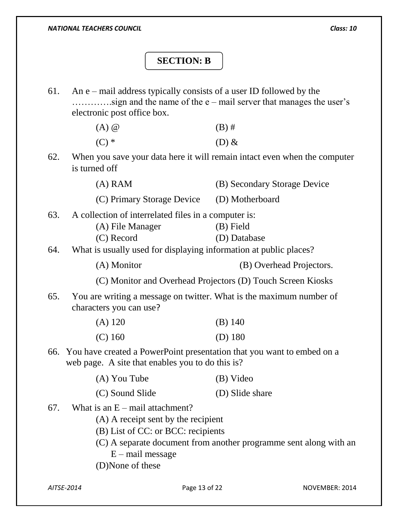# **SECTION: B**

61. An e – mail address typically consists of a user ID followed by the ………….sign and the name of the e – mail server that manages the user's electronic post office box.

| $(A)$ $@$ | $(B)$ # |
|-----------|---------|
| $(C)$ *   | $(D)$ & |

62. When you save your data here it will remain intact even when the computer is turned off

(A) RAM (B) Secondary Storage Device

- (C) Primary Storage Device (D) Motherboard
- 63. A collection of interrelated files in a computer is:
	- (A) File Manager (B) Field
		- (C) Record (D) Database
- 64. What is usually used for displaying information at public places?

(A) Monitor (B) Overhead Projectors.

(C) Monitor and Overhead Projectors (D) Touch Screen Kiosks

65. You are writing a message on twitter. What is the maximum number of characters you can use?

| $(A)$ 120 | $(B)$ 140 |
|-----------|-----------|
| $(C)$ 160 | (D) $180$ |

66. You have created a PowerPoint presentation that you want to embed on a web page. A site that enables you to do this is?

| (A) You Tube    | (B) Video       |
|-----------------|-----------------|
| (C) Sound Slide | (D) Slide share |

- 67. What is an  $E$  mail attachment?
	- (A) A receipt sent by the recipient
	- (B) List of CC: or BCC: recipients
	- (C) A separate document from another programme sent along with an  $E$  – mail message
	- (D)None of these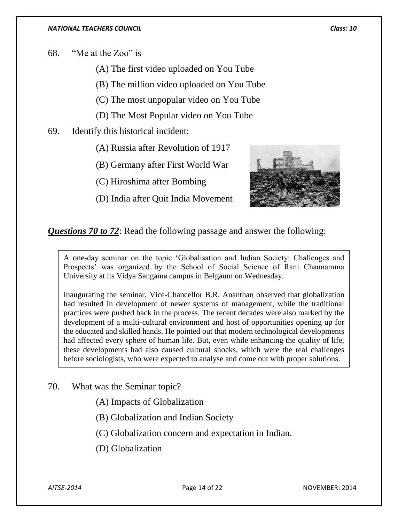68. "Me at the Zoo" is

- (A) The first video uploaded on You Tube
- (B) The million video uploaded on You Tube
- (C) The most unpopular video on You Tube
- (D) The Most Popular video on You Tube
- 69. Identify this historical incident:
	- (A) Russia after Revolution of 1917
	- (B) Germany after First World War
	- (C) Hiroshima after Bombing
	- (D) India after Quit India Movement



*Questions 70 to 72*: Read the following passage and answer the following:

A one-day seminar on the topic 'Globalisation and Indian Society: Challenges and Prospects' was organized by the School of Social Science of Rani Channamma University at its Vidya Sangama campus in Belgaum on Wednesday.

Inaugurating the seminar, Vice-Chancellor B.R. Ananthan observed that globalization had resulted in development of newer systems of management, while the traditional practices were pushed back in the process. The recent decades were also marked by the development of a multi-cultural environment and host of opportunities opening up for the educated and skilled hands. He pointed out that modern technological developments had affected every sphere of human life. But, even while enhancing the quality of life, these developments had also caused cultural shocks, which were the real challenges before sociologists, who were expected to analyse and come out with proper solutions.

70. What was the Seminar topic?

(A) Impacts of Globalization

- (B) Globalization and Indian Society
- (C) Globalization concern and expectation in Indian.
- (D) Globalization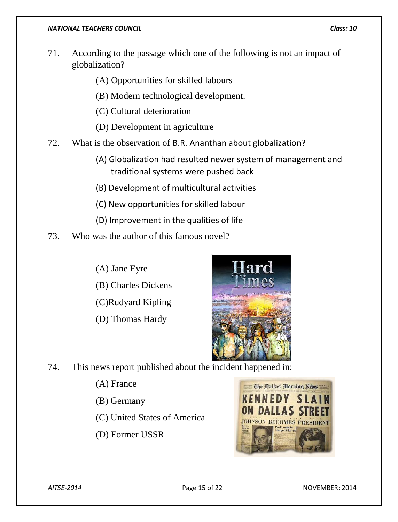- 71. According to the passage which one of the following is not an impact of globalization?
	- (A) Opportunities for skilled labours
	- (B) Modern technological development.
	- (C) Cultural deterioration
	- (D) Development in agriculture
- 72. What is the observation of B.R. Ananthan about globalization?
	- (A) Globalization had resulted newer system of management and traditional systems were pushed back
	- (B) Development of multicultural activities
	- (C) New opportunities for skilled labour
	- (D) Improvement in the qualities of life
- 73. Who was the author of this famous novel?
	- (A) Jane Eyre
	- (B) Charles Dickens
	- (C)Rudyard Kipling
	- (D) Thomas Hardy



- 74. This news report published about the incident happened in:
	- (A) France
	- (B) Germany
	- (C) United States of America
	- (D) Former USSR

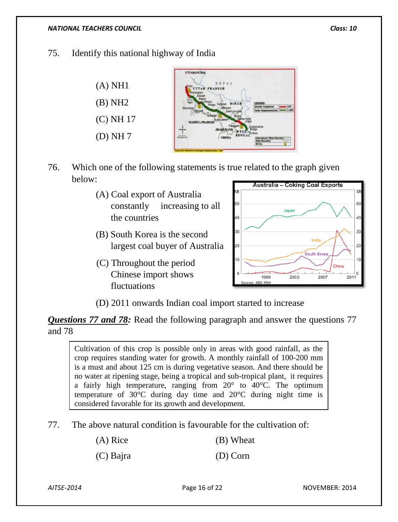### 75. Identify this national highway of India



- 76. Which one of the following statements is true related to the graph given below:
	- (A) Coal export of Australia constantly increasing to all the countries
	- (B) South Korea is the second largest coal buyer of Australia
	- (C) Throughout the period Chinese import shows fluctuations



(D) 2011 onwards Indian coal import started to increase

*Questions 77 and 78:* Read the following paragraph and answer the questions 77 and 78

Cultivation of this crop is possible only in areas with good rainfall, as the crop requires standing water for growth. A monthly rainfall of 100-200 mm is a must and about 125 cm is during vegetative season. And there should be no water at ripening stage, being a tropical and sub-tropical plant, it requires a fairly high temperature, ranging from  $20^{\circ}$  to  $40^{\circ}$ C. The optimum temperature of 30°C during day time and 20°C during night time is considered favorable for its growth and development.

77. The above natural condition is favourable for the cultivation of:

(A) Rice (B) Wheat

(C) Bajra (D) Corn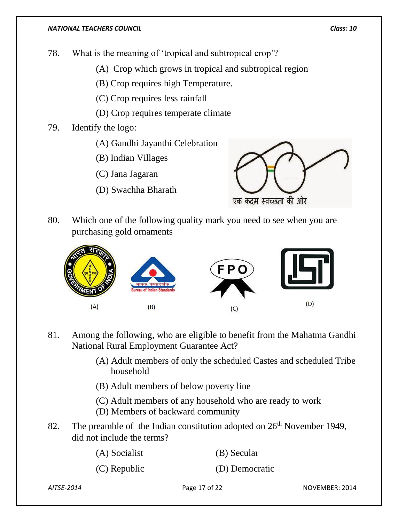78. What is the meaning of 'tropical and subtropical crop'?

(A) Crop which grows in tropical and subtropical region

(B) Crop requires high Temperature.

(C) Crop requires less rainfall

- (D) Crop requires temperate climate
- 79. Identify the logo:
	- (A) Gandhi Jayanthi Celebration

(B) Indian Villages

- (C) Jana Jagaran
- (D) Swachha Bharath



80. Which one of the following quality mark you need to see when you are purchasing gold ornaments



- 81. Among the following, who are eligible to benefit from the Mahatma Gandhi National Rural Employment Guarantee Act?
	- (A) Adult members of only the scheduled Castes and scheduled Tribe household
	- (B) Adult members of below poverty line
	- (C) Adult members of any household who are ready to work
	- (D) Members of backward community
- 82. The preamble of the Indian constitution adopted on  $26<sup>th</sup>$  November 1949, did not include the terms?

| (A) Socialist  | (B) Secular    |
|----------------|----------------|
| $(C)$ Republic | (D) Democratic |

*AITSE-2014* Page 17 of 22 NOVEMBER: 2014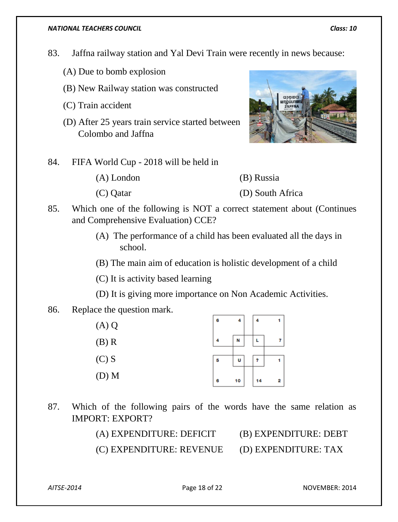- 83. Jaffna railway station and Yal Devi Train were recently in news because:
	- (A) Due to bomb explosion
	- (B) New Railway station was constructed
	- (C) Train accident
	- (D) After 25 years train service started between Colombo and Jaffna
- 84. FIFA World Cup 2018 will be held in
	- (A) London (B) Russia (C) Qatar (D) South Africa
- 85. Which one of the following is NOT a correct statement about (Continues and Comprehensive Evaluation) CCE?
	- (A) The performance of a child has been evaluated all the days in school.
	- (B) The main aim of education is holistic development of a child
	- (C) It is activity based learning
	- (D) It is giving more importance on Non Academic Activities.
- 86. Replace the question mark.

| (A) Q   | 6 | 4  | 4  |   |
|---------|---|----|----|---|
| (B) R   | 4 | N  | L  |   |
| (C) S   | 5 | U  | ?  |   |
| $(D)$ M | 6 | 10 | 14 | 2 |

87. Which of the following pairs of the words have the same relation as IMPORT: EXPORT?

> (A) EXPENDITURE: DEFICIT (B) EXPENDITURE: DEBT (C) EXPENDITURE: REVENUE (D) EXPENDITURE: TAX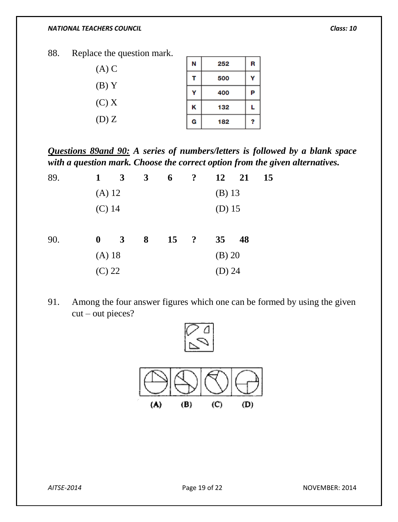88. Replace the question mark.

| $(A)$ C | N | 252 | R |
|---------|---|-----|---|
|         |   | 500 |   |
| $(B)$ Y | v | 400 | Р |
| (C) X   | κ | 132 |   |
| (D)Z    | G | 182 |   |

*Questions 89and 90: A series of numbers/letters is followed by a blank space with a question mark. Choose the correct option from the given alternatives.*

| 89. | 1                | 3            | 3 | 6  | $\ddot{?}$ | 12              | 21 | 15 |
|-----|------------------|--------------|---|----|------------|-----------------|----|----|
|     | (A) 12           |              |   |    |            | $(B)$ 13        |    |    |
|     | $(C)$ 14         |              |   |    |            | $(D)$ 15        |    |    |
| 90. | $\boldsymbol{0}$ | $\mathbf{3}$ | 8 | 15 | ?          | 35 <sup>5</sup> | 48 |    |
|     | $(A)$ 18         |              |   |    |            | $(B)$ 20        |    |    |
|     | $(C)$ 22         |              |   |    |            | (D) $24$        |    |    |

91. Among the four answer figures which one can be formed by using the given cut – out pieces?

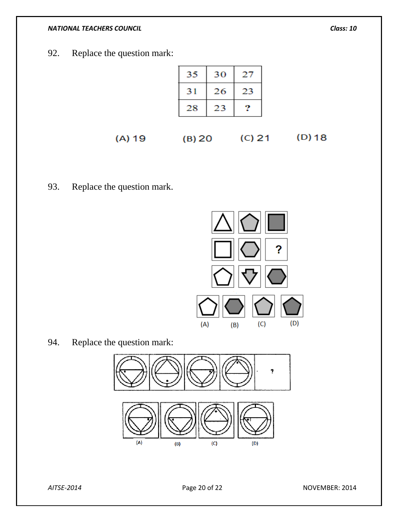92. Replace the question mark:

| 35 | 30 | 27 |
|----|----|----|
| 31 | 26 | 23 |
| 28 | 23 |    |

 $(D)$  18  $(A) 19$   $(B) 20$   $(C) 21$ 

93. Replace the question mark.



94. Replace the question mark:

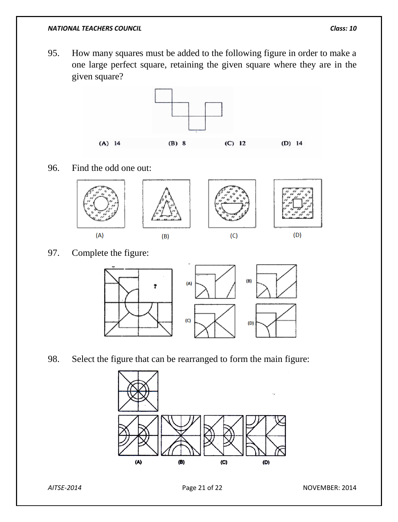95. How many squares must be added to the following figure in order to make a one large perfect square, retaining the given square where they are in the given square?



96. Find the odd one out:



97. Complete the figure:



98. Select the figure that can be rearranged to form the main figure:



*AITSE-2014* Page 21 of 22 NOVEMBER: 2014